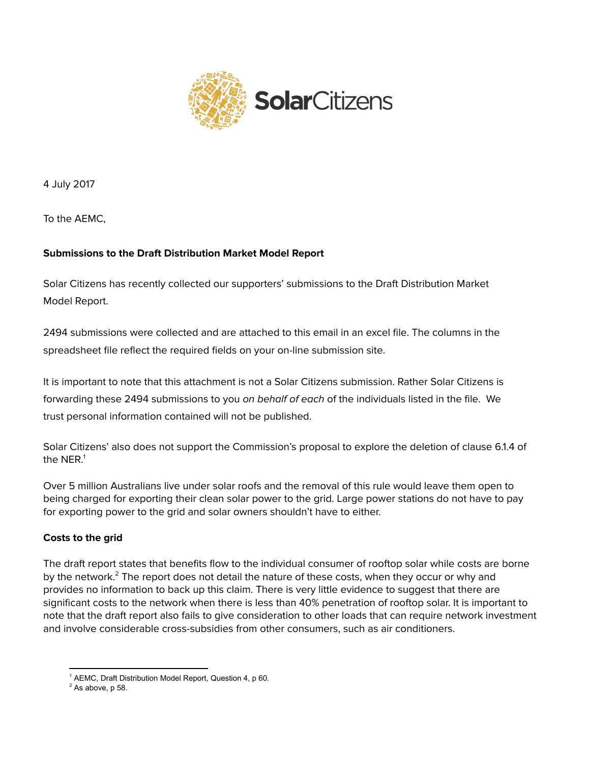

4 July 2017

To the AEMC,

# **Submissions to the Draft Distribution Market Model Report**

Solar Citizens has recently collected our supporters' submissions to the Draft Distribution Market Model Report.

2494 submissions were collected and are attached to this email in an excel file. The columns in the spreadsheet file reflect the required fields on your on-line submission site.

It is important to note that this attachment is not a Solar Citizens submission. Rather Solar Citizens is forwarding these 2494 submissions to you on behalf of each of the individuals listed in the file. We trust personal information contained will not be published.

Solar Citizens' also does not support the Commission's proposal to explore the deletion of clause 6.1.4 of the NER. $^1$ 

Over 5 million Australians live under solar roofs and the removal of this rule would leave them open to being charged for exporting their clean solar power to the grid. Large power stations do not have to pay for exporting power to the grid and solar owners shouldn't have to either.

# **Costs to the grid**

The draft report states that benefits flow to the individual consumer of rooftop solar while costs are borne by the network. $^2$  The report does not detail the nature of these costs, when they occur or why and provides no information to back up this claim. There is very little evidence to suggest that there are significant costs to the network when there is less than 40% penetration of rooftop solar. It is important to note that the draft report also fails to give consideration to other loads that can require network investment and involve considerable cross-subsidies from other consumers, such as air conditioners.

<sup>&</sup>lt;sup>1</sup> AEMC, Draft Distribution Model Report, Question 4, p 60.

 $2$  As above, p 58.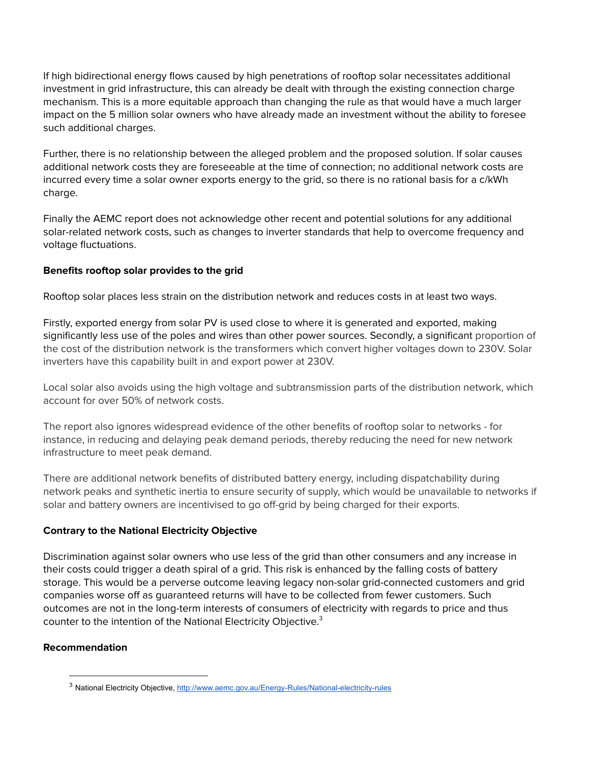If high bidirectional energy flows caused by high penetrations of rooftop solar necessitates additional investment in grid infrastructure, this can already be dealt with through the existing connection charge mechanism. This is a more equitable approach than changing the rule as that would have a much larger impact on the 5 million solar owners who have already made an investment without the ability to foresee such additional charges.

Further, there is no relationship between the alleged problem and the proposed solution. If solar causes additional network costs they are foreseeable at the time of connection; no additional network costs are incurred every time a solar owner exports energy to the grid, so there is no rational basis for a c/kWh charge.

Finally the AEMC report does not acknowledge other recent and potential solutions for any additional solar-related network costs, such as changes to inverter standards that help to overcome frequency and voltage fluctuations.

## **Benefits rooftop solar provides to the grid**

Rooftop solar places less strain on the distribution network and reduces costs in at least two ways.

Firstly, exported energy from solar PV is used close to where it is generated and exported, making significantly less use of the poles and wires than other power sources. Secondly, a significant proportion of the cost of the distribution network is the transformers which convert higher voltages down to 230V. Solar inverters have this capability built in and export power at 230V.

Local solar also avoids using the high voltage and subtransmission parts of the distribution network, which account for over 50% of network costs.

The report also ignores widespread evidence of the other benefits of rooftop solar to networks - for instance, in reducing and delaying peak demand periods, thereby reducing the need for new network infrastructure to meet peak demand.

There are additional network benefits of distributed battery energy, including dispatchability during network peaks and synthetic inertia to ensure security of supply, which would be unavailable to networks if solar and battery owners are incentivised to go off-grid by being charged for their exports.

## **Contrary to the National Electricity Objective**

Discrimination against solar owners who use less of the grid than other consumers and any increase in their costs could trigger a death spiral of a grid. This risk is enhanced by the falling costs of battery storage. This would be a perverse outcome leaving legacy non-solar grid-connected customers and grid companies worse off as guaranteed returns will have to be collected from fewer customers. Such outcomes are not in the long-term interests of consumers of electricity with regards to price and thus counter to the intention of the National Electricity Objective. 3

## **Recommendation**

<sup>&</sup>lt;sup>3</sup> National Electricity Objective, http://www.aemc.gov.au/Energy-Rules/National-electricity-rules